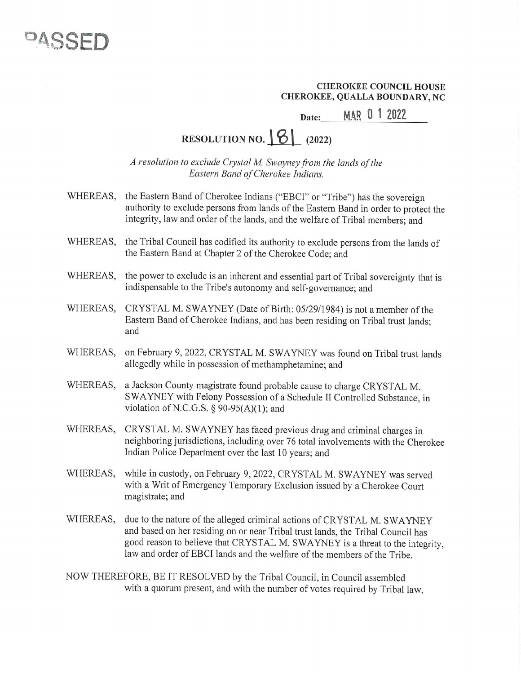## DASS

## CHEROKEE COUNCIL HOUSE CHEROKEE, QUALLA BOUNDARY, NC THEROKEE C<br>EE, QUALLA<br>MAR 0

Date: MAR 0 1 2022

## RESOLUTION NO.  $\boxed{8}$  (2022)

A resolution to exclude Crystal M. Swayney from the lands of the Eastern Band of Cherokee Indians.

WHEREAS, the Eastern Band of Cherokee Indians ("EBCI" or "Tribe") has the sovereign authority to exclude persons from lands of the Eastern Band in order to protect the integrity, law and order of the lands, and the welfare of Tribal members; and

- WHEREAS, the Tribal Council has codified its authority to exclude persons from the lands of the Eastern Band at Chapter 2 of the Cherokee Code; and
- WHEREAS, the power to exclude is an inherent and essential part of Tribal sovereignty that is indispensable to the Tribe's autonomy and self-governance; and
- WHEREAS, CRYSTAL M. SWAYNEY (Date of Birth: 05/29/1984) is not a member of the Eastern Band of Cherokee Indians, and has been residing on Tribal trust lands; and
- WHEREAS, on February 9, 2022, CRYSTAL M. SWAYNEY was found on Tribal trust lands allegedly while in possession of methamphetamine; and
- WHEREAS, a Jackson County magistrate found probable cause to charge CRYSTAL M. SWAYNEY with Felony Possession of a Schedule II Controlled Substance, in violation of N.C.G.S.  $\S$  90-95(A)(1); and
- WHEREAS, CRYSTAL M. SWAYNEY has faced previous drug and criminal charges in neighboring jurisdictions, including over 76 total involvements with the Cherokee Indian Police Department over the last 10 years; and
- WHEREAS, while in custody, on February 9, 2022, CRYSTAL M. SWAYNEY was served with a Writ of Emergency Temporary Exclusion issued by a Cherokee Court magistrate; and
- WIIEREAS, due to the nature of the alleged criminal actions of CRYSTAL M. SWAYNEY and based on her residing on or near Tribal trust lands, the Tribal Council has good reason to believe that CRYSTAL M. SWAYNEY is a threat to the integrity, law and order of EBCI lands and the welfare of the members of the Tribe.
- NOW THEREFORE, BE IT RESOLVED by the Tribal Council, in Council assembled with a quorum present, and with the number of votes required by Tribal law,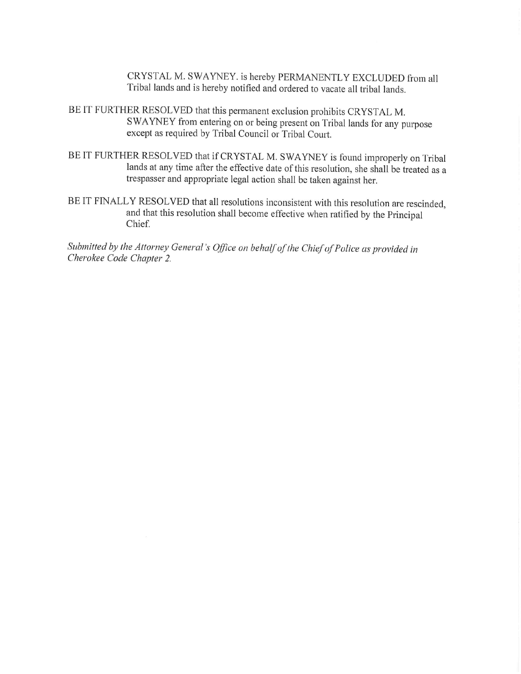CRYSTAL M. SWAYNEY. is hereby PERMANENTLY EXCLUDED from all Tribal lands and is hereby notified and ordered to vacate all tribal lands.

- BE IT FURTHER RESOLVED that this permanent exclusion prohibits CRYSTAL M, SWAYNEY from entering on or being present on Tribal lands for any purpose except as required by Tribal Council or Tribal Court.
- BE IT FURTHER RESOLVED that if CRYSTAL M. SWAYNEY is found improperly on Tribal<br>lands at any time after the effective date of this resolution, she shall be treated as a<br>trespasser and appropriate legal action shall be take
- BEIT FINALLY RESOLVED that all resolutions inconsistent with this resolution are rescinded, and that this resolution shall become effective when ratified by the Principal Chief.

Submitted by the Attorney General's Office on behalf of the Chief of Police as provided in Cherokee Code Chapter 2.